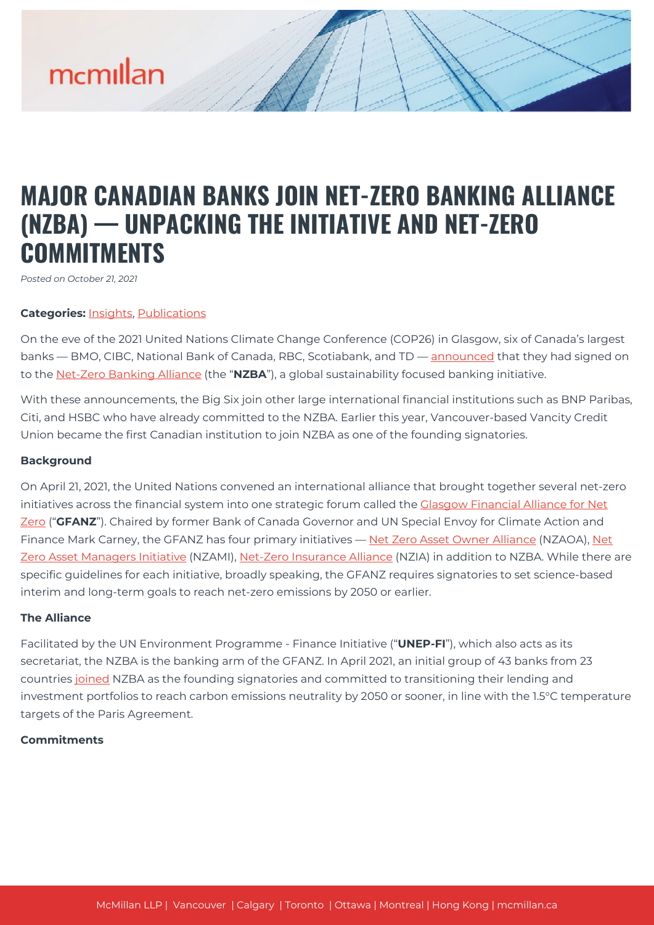# mcmillan

## **MAJOR CANADIAN BANKS JOIN NET-ZERO BANKING ALLIANCE (NZBA) — UNPACKING THE INITIATIVE AND NET-ZERO COMMITMENTS**

*Posted on October 21, 2021*

#### **Categories:** [Insights,](https://mcmillan.ca/insights/) [Publications](https://mcmillan.ca/insights/publications/)

On the eve of the 2021 United Nations Climate Change Conference (COP26) in Glasgow, six of Canada's largest banks — BMO, CIBC, National Bank of Canada, RBC, Scotiabank, and TD — [announced](https://www.newswire.ca/news-releases/six-of-canada-s-largest-banks-join-united-nations-convened-net-zero-banking-alliance-801190199.html) that they had signed on to the [Net-Zero Banking Alliance](https://www.unepfi.org/net-zero-banking/) (the "**NZBA**"), a global sustainability focused banking initiative.

With these announcements, the Big Six join other large international financial institutions such as BNP Paribas, Citi, and HSBC who have already committed to the NZBA. Earlier this year, Vancouver-based Vancity Credit Union became the first Canadian institution to join NZBA as one of the founding signatories.

#### **Background**

On April 21, 2021, the United Nations convened an international alliance that brought together several net-zero initiatives across the financial system into one strategic forum called the Clasgow Financial Alliance for Net [Zero](https://unfccc.int/news/new-financial-alliance-for-net-zero-emissions-launches) ("**GFANZ**"). Chaired by former Bank of Canada Governor and UN Special Envoy for Climate Action and Finance Mark Carney, the GFANZ has four primary initiatives — [Net Zero Asset Owner Alliance](https://www.unepfi.org/net-zero-alliance/) (NZAOA), [Net](https://www.netzeroassetmanagers.org/#) [Zero Asset Managers Initiative](https://www.netzeroassetmanagers.org/#) (NZAMI), [Net-Zero Insurance Alliance](https://www.unepfi.org/net-zero-insurance/) (NZIA) in addition to NZBA. While there are specific guidelines for each initiative, broadly speaking, the GFANZ requires signatories to set science-based interim and long-term goals to reach net-zero emissions by 2050 or earlier.

#### **The Alliance**

Facilitated by the UN Environment Programme - Finance Initiative ("**UNEP-FI**"), which also acts as its secretariat, the NZBA is the banking arm of the GFANZ. In April 2021, an initial group of 43 banks from 23 countries [joined](https://www.unepfi.org/news/industries/banking/43-banks-launch-net-zero-banking-alliance-as-key-part-of-consolidated-glasgow-cop-climate-action/) NZBA as the founding signatories and committed to transitioning their lending and investment portfolios to reach carbon emissions neutrality by 2050 or sooner, in line with the 1.5°C temperature targets of the Paris Agreement.

#### **Commitments**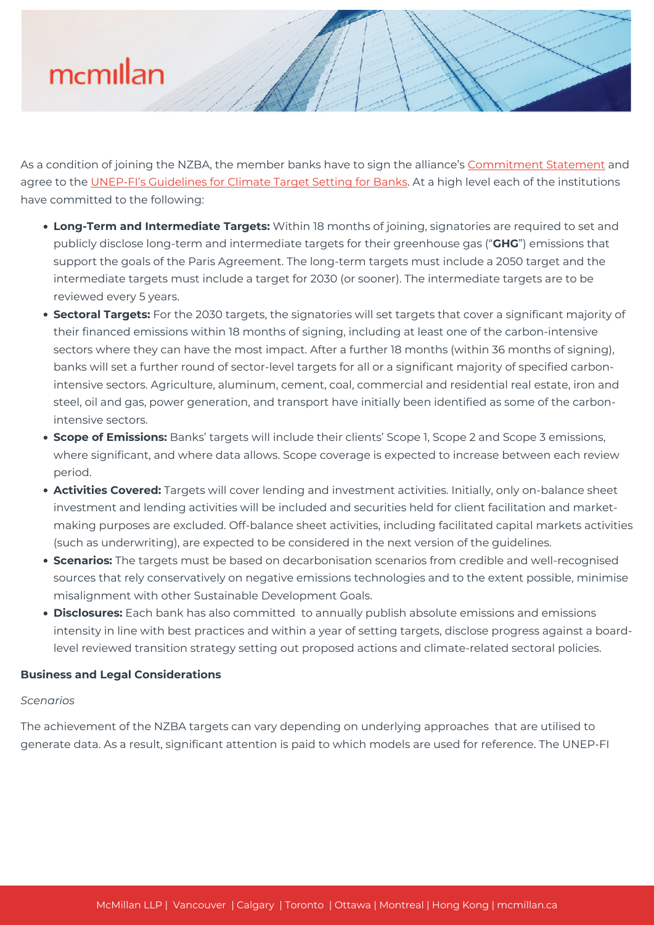# mcmillan

As a condition of joining the NZBA, the member banks have to sign the alliance's [Commitment Statement](https://www.unepfi.org/wordpress/wp-content/uploads/2021/04/UNEP-FI-NZBA-Commitment-Statement.pdf) and agree to the [UNEP-FI's Guidelines for Climate Target Setting for Banks](https://www.unepfi.org/wordpress/wp-content/uploads/2021/04/UNEP-FI-Guidelines-for-Climate-Change-Target-Setting.pdf). At a high level each of the institutions have committed to the following:

- **Long-Term and Intermediate Targets:** Within 18 months of joining, signatories are required to set and publicly disclose long-term and intermediate targets for their greenhouse gas ("**GHG**") emissions that support the goals of the Paris Agreement. The long-term targets must include a 2050 target and the intermediate targets must include a target for 2030 (or sooner). The intermediate targets are to be reviewed every 5 years.
- **Sectoral Targets:** For the 2030 targets, the signatories will set targets that cover a significant majority of their financed emissions within 18 months of signing, including at least one of the carbon-intensive sectors where they can have the most impact. After a further 18 months (within 36 months of signing), banks will set a further round of sector-level targets for all or a significant majority of specified carbonintensive sectors. Agriculture, aluminum, cement, coal, commercial and residential real estate, iron and steel, oil and gas, power generation, and transport have initially been identified as some of the carbonintensive sectors.
- **Scope of Emissions:** Banks' targets will include their clients' Scope 1, Scope 2 and Scope 3 emissions, where significant, and where data allows. Scope coverage is expected to increase between each review period.
- **Activities Covered:** Targets will cover lending and investment activities. Initially, only on-balance sheet investment and lending activities will be included and securities held for client facilitation and marketmaking purposes are excluded. Off-balance sheet activities, including facilitated capital markets activities (such as underwriting), are expected to be considered in the next version of the guidelines.
- **Scenarios:** The targets must be based on decarbonisation scenarios from credible and well-recognised sources that rely conservatively on negative emissions technologies and to the extent possible, minimise misalignment with other Sustainable Development Goals.
- **Disclosures:** Each bank has also committed to annually publish absolute emissions and emissions intensity in line with best practices and within a year of setting targets, disclose progress against a boardlevel reviewed transition strategy setting out proposed actions and climate-related sectoral policies.

#### **Business and Legal Considerations**

#### *Scenarios*

The achievement of the NZBA targets can vary depending on underlying approaches that are utilised to generate data. As a result, significant attention is paid to which models are used for reference. The UNEP-FI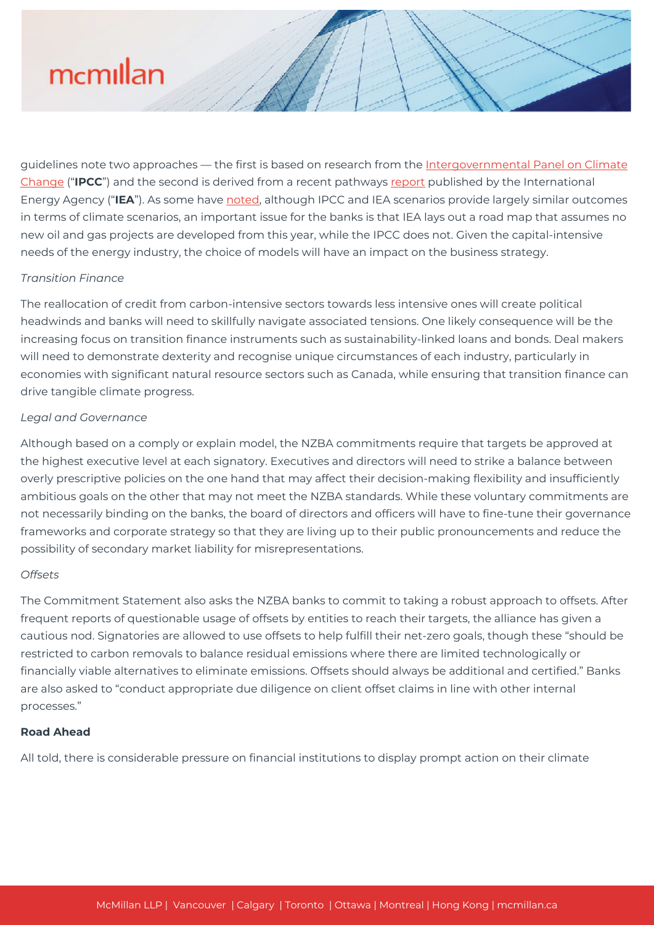# mcmillan

guidelines note two approaches — the first is based on research from the [Intergovernmental Panel on Climate](https://www.ipcc.ch/site/assets/uploads/2018/03/emissions_scenarios-1.pdf) [Change](https://www.ipcc.ch/site/assets/uploads/2018/03/emissions_scenarios-1.pdf) ("**IPCC**") and the second is derived from a recent pathways [report](https://iea.blob.core.windows.net/assets/beceb956-0dcf-4d73-89fe-1310e3046d68/NetZeroby2050-ARoadmapfortheGlobalEnergySector_CORR.pdf) published by the International Energy Agency ("**IEA**"). As some have [noted](https://www.ft.com/content/9105cc47-58fb-47dc-8233-6b622fb56ae2), although IPCC and IEA scenarios provide largely similar outcomes in terms of climate scenarios, an important issue for the banks is that IEA lays out a road map that assumes no new oil and gas projects are developed from this year, while the IPCC does not. Given the capital-intensive needs of the energy industry, the choice of models will have an impact on the business strategy.

### *Transition Finance*

The reallocation of credit from carbon-intensive sectors towards less intensive ones will create political headwinds and banks will need to skillfully navigate associated tensions. One likely consequence will be the increasing focus on transition finance instruments such as sustainability-linked loans and bonds. Deal makers will need to demonstrate dexterity and recognise unique circumstances of each industry, particularly in economies with significant natural resource sectors such as Canada, while ensuring that transition finance can drive tangible climate progress.

### *Legal and Governance*

Although based on a comply or explain model, the NZBA commitments require that targets be approved at the highest executive level at each signatory. Executives and directors will need to strike a balance between overly prescriptive policies on the one hand that may affect their decision-making flexibility and insufficiently ambitious goals on the other that may not meet the NZBA standards. While these voluntary commitments are not necessarily binding on the banks, the board of directors and officers will have to fine-tune their governance frameworks and corporate strategy so that they are living up to their public pronouncements and reduce the possibility of secondary market liability for misrepresentations.

#### *Offsets*

The Commitment Statement also asks the NZBA banks to commit to taking a robust approach to offsets. After frequent reports of questionable usage of offsets by entities to reach their targets, the alliance has given a cautious nod. Signatories are allowed to use offsets to help fulfill their net-zero goals, though these "should be restricted to carbon removals to balance residual emissions where there are limited technologically or financially viable alternatives to eliminate emissions. Offsets should always be additional and certified." Banks are also asked to "conduct appropriate due diligence on client offset claims in line with other internal processes."

#### **Road Ahead**

All told, there is considerable pressure on financial institutions to display prompt action on their climate